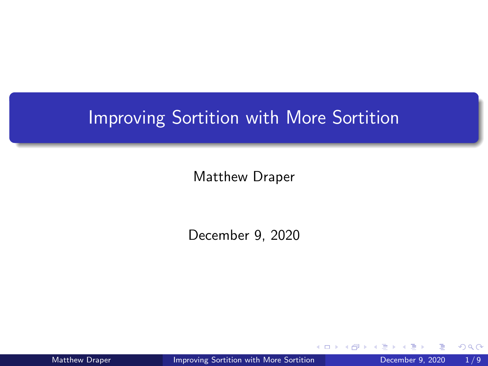## <span id="page-0-0"></span>Improving Sortition with More Sortition

Matthew Draper

December 9, 2020

Matthew Draper **[Improving Sortition with More Sortition](#page-11-0)** December 9, 2020 1/9

4 0 8

 $2Q$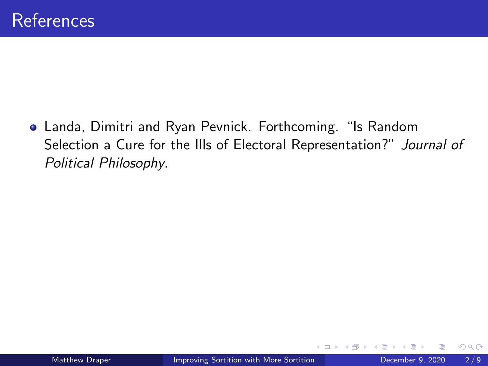Landa, Dimitri and Ryan Pevnick. Forthcoming. "Is Random Selection a Cure for the Ills of Electoral Representation?" Journal of Political Philosophy.

4 0 8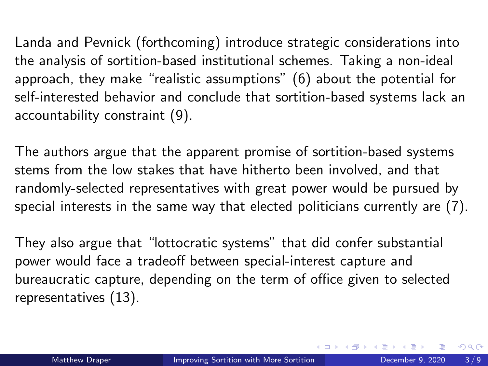Landa and Pevnick (forthcoming) introduce strategic considerations into the analysis of sortition-based institutional schemes. Taking a non-ideal approach, they make "realistic assumptions" (6) about the potential for self-interested behavior and conclude that sortition-based systems lack an accountability constraint (9).

The authors argue that the apparent promise of sortition-based systems stems from the low stakes that have hitherto been involved, and that randomly-selected representatives with great power would be pursued by special interests in the same way that elected politicians currently are (7).

They also argue that "lottocratic systems" that did confer substantial power would face a tradeoff between special-interest capture and bureaucratic capture, depending on the term of office given to selected representatives (13).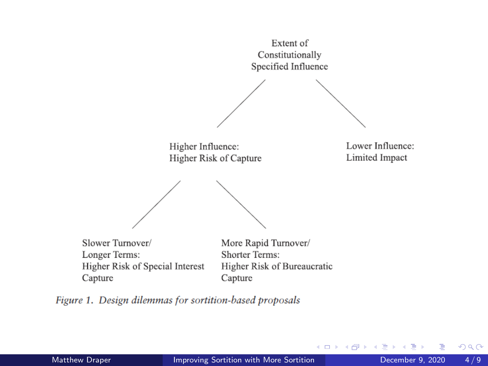Extent of Constitutionally Specified Influence

Higher Influence: Higher Risk of Capture Lower Influence: Limited Impact

**∢ ロ ▶ - ∢ 何 ▶ - ∢** 

э

 $\sim$  $\mathcal{A}$ в

Slower Turnover/ Longer Terms: Higher Risk of Special Interest Capture

More Rapid Turnover/ Shorter Terms: Higher Risk of Bureaucratic Capture

Figure 1. Design dilemmas for sortition-based proposals

Þ

 $298$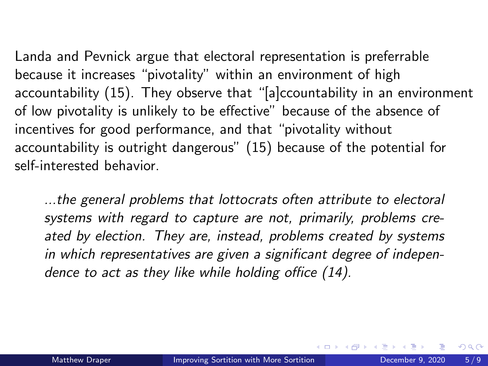Landa and Pevnick argue that electoral representation is preferrable because it increases "pivotality" within an environment of high accountability (15). They observe that "[a]ccountability in an environment of low pivotality is unlikely to be effective" because of the absence of incentives for good performance, and that "pivotality without accountability is outright dangerous" (15) because of the potential for self-interested behavior.

...the general problems that lottocrats often attribute to electoral systems with regard to capture are not, primarily, problems created by election. They are, instead, problems created by systems in which representatives are given a significant degree of independence to act as they like while holding office (14).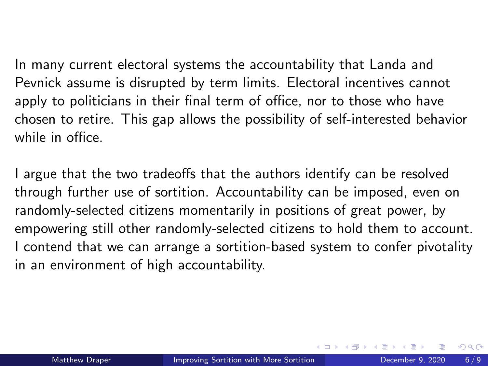In many current electoral systems the accountability that Landa and Pevnick assume is disrupted by term limits. Electoral incentives cannot apply to politicians in their final term of office, nor to those who have chosen to retire. This gap allows the possibility of self-interested behavior while in office.

I argue that the two tradeoffs that the authors identify can be resolved through further use of sortition. Accountability can be imposed, even on randomly-selected citizens momentarily in positions of great power, by empowering still other randomly-selected citizens to hold them to account. I contend that we can arrange a sortition-based system to confer pivotality in an environment of high accountability.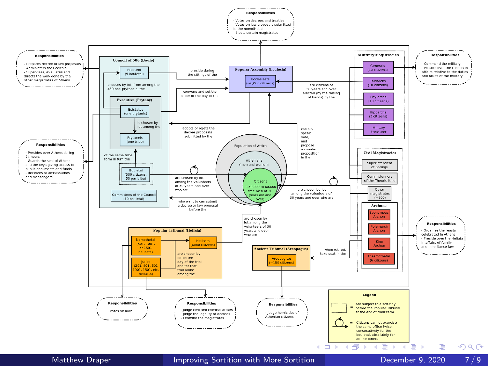<span id="page-6-0"></span>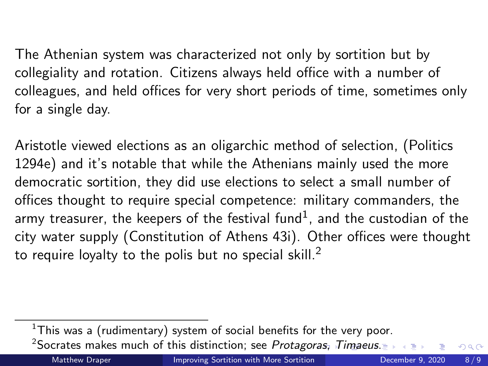<span id="page-7-0"></span>The Athenian system was characterized not only by sortition but by collegiality and rotation. Citizens always held office with a number of colleagues, and held offices for very short periods of time, sometimes only for a single day.

Aristotle viewed elections as an oligarchic method of selection, (Politics 1294e) and it's notable that while the Athenians mainly used the more democratic sortition, they did use elections to select a small number of offices thought to require special competence: military commanders, the army treasurer, the keepers of the festival fund $^{\rm 1}$ , and the custodian of the city water supply (Constitution of Athens 43i). Other offices were thought to require loyalty to the polis but no special skill. $^2$ 

<sup>2</sup>Socrates makes much of this distinction; see Protag[oras](#page-6-0), [T](#page-8-0)[i](#page-6-0)[ma](#page-7-0)[eu](#page-8-0)[s](#page-0-0)[.](#page-0-0)  $QQ$ 

 $1$ This was a (rudimentary) system of social benefits for the very poor.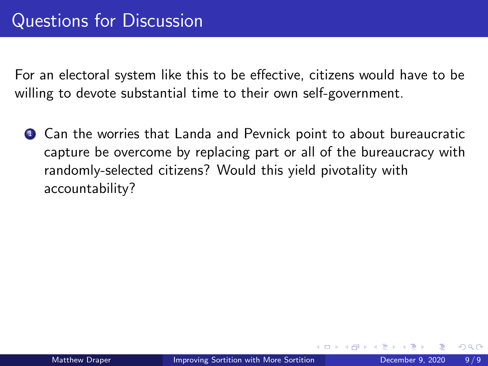**1** Can the worries that Landa and Pevnick point to about bureaucratic capture be overcome by replacing part or all of the bureaucracy with randomly-selected citizens? Would this yield pivotality with accountability?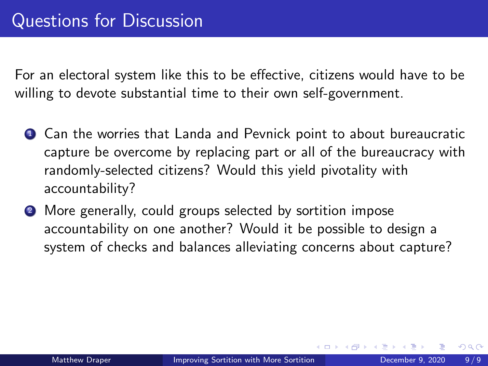- **1** Can the worries that Landa and Pevnick point to about bureaucratic capture be overcome by replacing part or all of the bureaucracy with randomly-selected citizens? Would this yield pivotality with accountability?
- <sup>2</sup> More generally, could groups selected by sortition impose accountability on one another? Would it be possible to design a system of checks and balances alleviating concerns about capture?